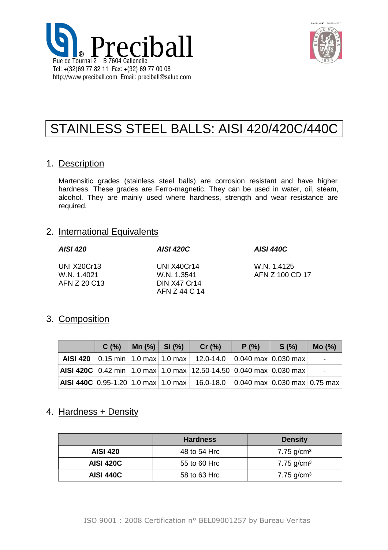



# STAINLESS STEEL BALLS: AISI 420/420C/440C

### 1. Description

Martensitic grades (stainless steel balls) are corrosion resistant and have higher hardness. These grades are Ferro-magnetic. They can be used in water, oil, steam, alcohol. They are mainly used where hardness, strength and wear resistance are required.

### 2. International Equivalents

| <b>AISI 420</b>                                   | AISI 420C                                                          | <b>AISI 440C</b>               |
|---------------------------------------------------|--------------------------------------------------------------------|--------------------------------|
| <b>UNI X20Cr13</b><br>W.N. 1.4021<br>AFN Z 20 C13 | UNI X40Cr14<br>W.N. 1.3541<br><b>DIN X47 Cr14</b><br>AFN Z 44 C 14 | W.N. 1.4125<br>AFN Z 100 CD 17 |

## 3. Composition

| C(%) | Mn (%)   Si (%) | Cr $(% )$                                                                         | P(% ) | S(%) | Mo(%)                    |
|------|-----------------|-----------------------------------------------------------------------------------|-------|------|--------------------------|
|      |                 | AISI 420   0.15 min   1.0 max   1.0 max   12.0-14.0   0.040 max   0.030 max       |       |      |                          |
|      |                 | AISI 420C 0.42 min 1.0 max 1.0 max 12.50-14.50 0.040 max 0.030 max                |       |      | $\overline{\phantom{0}}$ |
|      |                 | <b>AISI 440C</b> 0.95-1.20 1.0 max 1.0 max 16.0-18.0 0.040 max 0.030 max 0.75 max |       |      |                          |

## 4. Hardness + Density

|                  | <b>Hardness</b> | <b>Density</b> |
|------------------|-----------------|----------------|
| <b>AISI 420</b>  | 48 to 54 Hrc    | 7.75 $g/cm3$   |
| <b>AISI 420C</b> | 55 to 60 Hrc    | 7.75 $g/cm3$   |
| <b>AISI 440C</b> | 58 to 63 Hrc    | 7.75 $g/cm3$   |